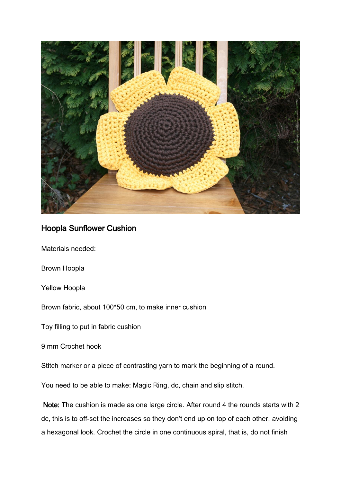

## Hoopla Sunflower Cushion

Materials needed:

Brown Hoopla

Yellow Hoopla

Brown fabric, about 100\*50 cm, to make inner cushion

Toy filling to put in fabric cushion

9 mm Crochet hook

Stitch marker or a piece of contrasting yarn to mark the beginning of a round.

You need to be able to make: Magic Ring, dc, chain and slip stitch.

 Note: The cushion is made as one large circle. After round 4 the rounds starts with 2 dc, this is to off-set the increases so they don't end up on top of each other, avoiding a hexagonal look. Crochet the circle in one continuous spiral, that is, do not finish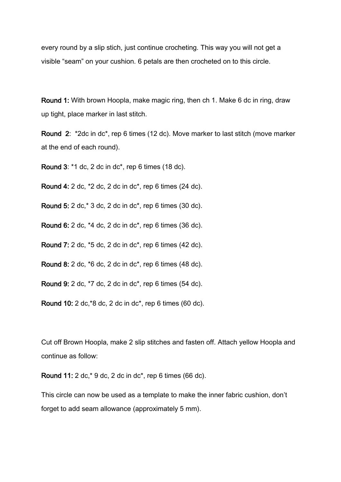every round by a slip stich, just continue crocheting. This way you will not get a visible "seam" on your cushion. 6 petals are then crocheted on to this circle.

Round 1: With brown Hoopla, make magic ring, then ch 1. Make 6 dc in ring, draw up tight, place marker in last stitch.

Round 2: \*2dc in dc\*, rep 6 times (12 dc). Move marker to last stitch (move marker at the end of each round).

Round 3: \*1 dc, 2 dc in dc\*, rep 6 times (18 dc).

Round 4: 2 dc, \*2 dc, 2 dc in dc\*, rep 6 times (24 dc).

Round 5: 2 dc,\* 3 dc, 2 dc in dc\*, rep 6 times (30 dc).

Round 6: 2 dc, \*4 dc, 2 dc in dc\*, rep 6 times (36 dc).

Round 7: 2 dc, \*5 dc, 2 dc in dc\*, rep 6 times (42 dc).

Round 8: 2 dc, \*6 dc, 2 dc in dc\*, rep 6 times (48 dc).

Round 9: 2 dc, \*7 dc, 2 dc in dc\*, rep 6 times (54 dc).

Round 10: 2 dc,\*8 dc, 2 dc in dc\*, rep 6 times (60 dc).

Cut off Brown Hoopla, make 2 slip stitches and fasten off. Attach yellow Hoopla and continue as follow:

Round 11: 2 dc,\* 9 dc, 2 dc in dc\*, rep 6 times (66 dc).

This circle can now be used as a template to make the inner fabric cushion, don't forget to add seam allowance (approximately 5 mm).